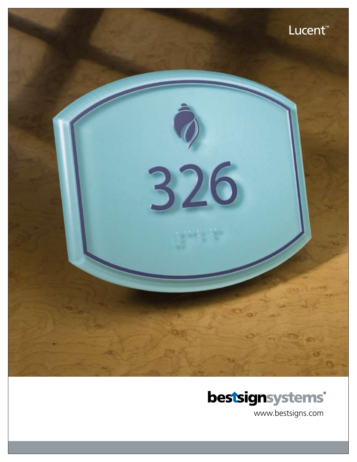



www.bestsigns.com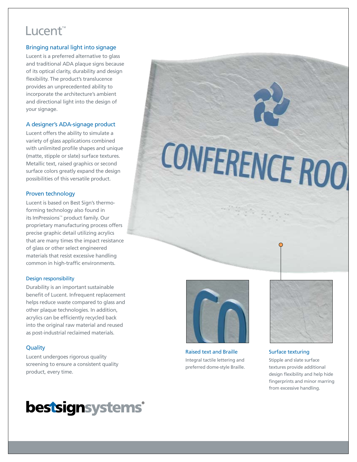# Lucent™

#### Bringing natural light into signage

Lucent is a preferred alternative to glass and traditional ADA plaque signs because of its optical clarity, durability and design flexibility. The product's translucence provides an unprecedented ability to incorporate the architecture's ambient and directional light into the design of your signage.

#### A designer's ADA-signage product

Lucent offers the ability to simulate a variety of glass applications combined with unlimited profile shapes and unique (matte, stipple or slate) surface textures. Metallic text, raised graphics or second surface colors greatly expand the design possibilities of this versatile product.

#### Proven technology

Lucent is based on Best Sign's thermoforming technology also found in its ImPressions™ product family. Our proprietary manufacturing process offers precise graphic detail utilizing acrylics that are many times the impact resistance of glass or other select engineered materials that resist excessive handling common in high-traffic environments.

#### Design responsibility

Durability is an important sustainable benefit of Lucent. Infrequent replacement helps reduce waste compared to glass and other plaque technologies. In addition, acrylics can be efficiently recycled back into the original raw material and reused as post-industrial reclaimed materials.

#### **Quality**

Lucent undergoes rigorous quality screening to ensure a consistent quality product, every time.



CONFERENCE ROO

Raised text and Braille Integral tactile lettering and preferred dome-style Braille.



#### Surface texturing

Stipple and slate surface textures provide additional design flexibility and help hide fingerprints and minor marring from excessive handling.

# **bestsignsystems®**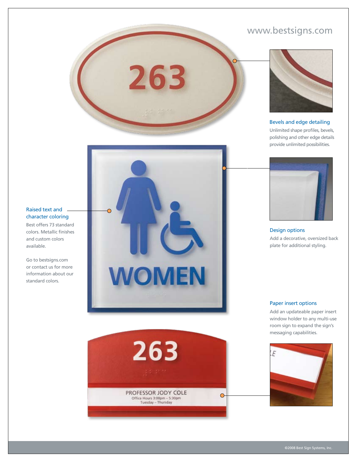### www.bestsigns.com



Bevels and edge detailing

Unlimited shape profiles, bevels, polishing and other edge details provide unlimited possibilities.



Design options Add a decorative, oversized back plate for additional styling.



263



Add an updateable paper insert window holder to any multi-use room sign to expand the sign's messaging capabilities.



#### Raised text and character coloring

Best offers 73 standard colors. Metallic finishes and custom colors available.

Go to bestsigns.com or contact us for more information about our standard colors.

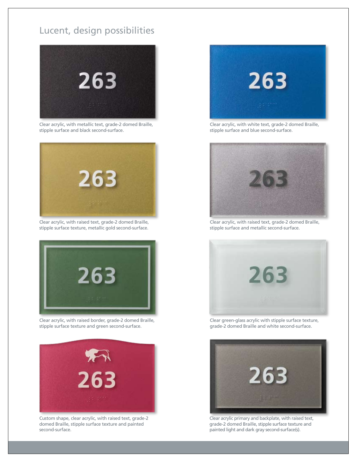## Lucent, design possibilities



Clear acrylic, with metallic text, grade-2 domed Braille, stipple surface and black second-surface.



Clear acrylic, with raised text, grade-2 domed Braille, stipple surface texture, metallic gold second-surface.



Clear acrylic, with raised border, grade-2 domed Braille, stipple surface texture and green second-surface.



Custom shape, clear acrylic, with raised text, grade-2 domed Braille, stipple surface texture and painted second-surface.



Clear acrylic, with white text, grade-2 domed Braille, stipple surface and blue second-surface.



Clear acrylic, with raised text, grade-2 domed Braille, stipple surface and metallic second-surface.



Clear green-glass acrylic with stipple surface texture, grade-2 domed Braille and white second-surface.



Clear acrylic primary and backplate, with raised text, grade-2 domed Braille, stipple surface texture and painted light and dark gray second-surface(s).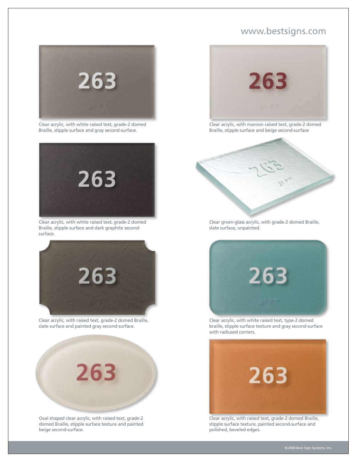### www.bestsigns.com



Clear acrylic, with white raised text, grade-2 domed Braille, stipple surface and gray second-surface.



Clear acrylic, with white raised text, grade-2 domed Braille, stipple surface and dark graphite secondsurface.



Clear acrylic, with raised text, grade-2 domed Braille, slate surface and painted gray second-surface.



Oval shaped clear acrylic, with raised text, grade-2 domed Braille, stipple surface texture and painted beige second-surface.



Clear acrylic, with maroon raised text, grade-2 domed Braille, stipple surface and beige second-surface



Clear green-glass acrylic, with grade-2 domed Braille, slate surface, unpainted.



Clear acrylic, with white raised text, type-2 domed braille, stipple surface texture and gray second-surface with radiused corners.



Clear acrylic, with raised text, grade-2 domed Braille, stipple surface texture, painted second-surface and polished, beveled edges.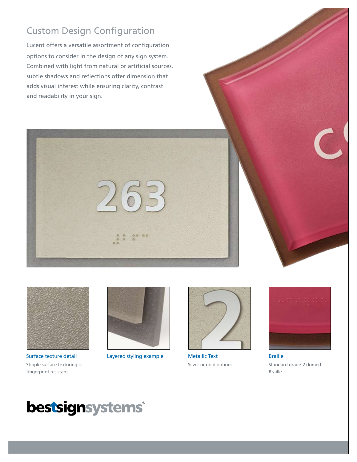# Custom Design Configuration

Lucent offers a versatile assortment of configuration options to consider in the design of any sign system. Combined with light from natural or artificial sources, subtle shadows and reflections offer dimension that adds visual interest while ensuring clarity, contrast and readability in your sign.





Surface texture detail Layered styling example Stipple surface texturing is fingerprint resistant.





Metallic Text Silver or gold options.



Braille Standard grade-2 domed Braille.

# bestsignsystems®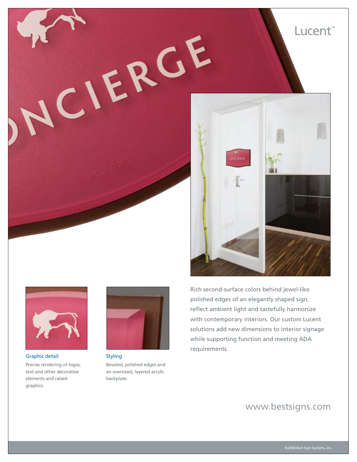



Graphic detail Precise rendering of logos, text and other decorative elements and raised graphics.



Styling Beveled, polished edges and an oversized, layered acrylic backplate.

Rich second-surface colors behind jewel-like polished edges of an elegantly shaped sign, reflect ambient light and tastefully harmonize with contemporary interiors. Our custom Lucent solutions add new dimensions to interior signage while supporting function and meeting ADA requirements.

## www.bestsigns.com